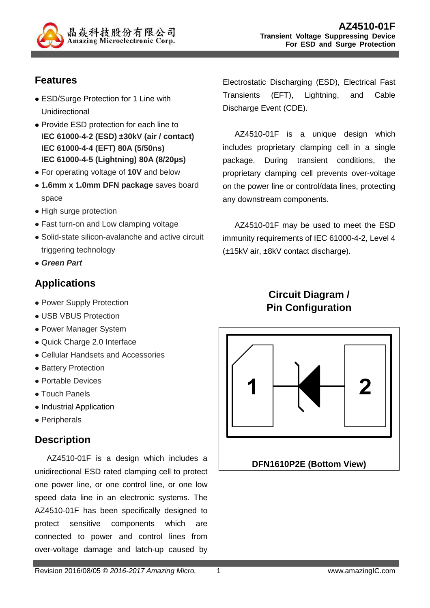

## **Features**

- ESD/Surge Protection for 1 Line with Unidirectional
- Provide ESD protection for each line to **IEC 61000-4-2 (ESD) ±30kV (air / contact) IEC 61000-4-4 (EFT) 80A (5/50ns) IEC 61000-4-5 (Lightning) 80A (8/20µs)**
- For operating voltage of **10V** and below
- **1.6mm x 1.0mm DFN package** saves board space
- High surge protection
- Fast turn-on and Low clamping voltage
- Solid-state silicon-avalanche and active circuit triggering technology
- **Green Part**

## **Applications**

- Power Supply Protection
- USB VBUS Protection
- Power Manager System
- Quick Charge 2.0 Interface
- Cellular Handsets and Accessories
- Battery Protection
- Portable Devices
- Touch Panels
- Industrial Application
- Peripherals

#### **Description**

AZ4510-01F is a design which includes a unidirectional ESD rated clamping cell to protect one power line, or one control line, or one low speed data line in an electronic systems. The AZ4510-01F has been specifically designed to protect sensitive components which are connected to power and control lines from over-voltage damage and latch-up caused by

Electrostatic Discharging (ESD), Electrical Fast Transients (EFT), Lightning, and Cable Discharge Event (CDE).

AZ4510-01F is a unique design which includes proprietary clamping cell in a single package. During transient conditions, the proprietary clamping cell prevents over-voltage on the power line or control/data lines, protecting any downstream components.

AZ4510-01F may be used to meet the ESD immunity requirements of IEC 61000-4-2, Level 4 (±15kV air, ±8kV contact discharge).

# **Circuit Diagram / Pin Configuration**

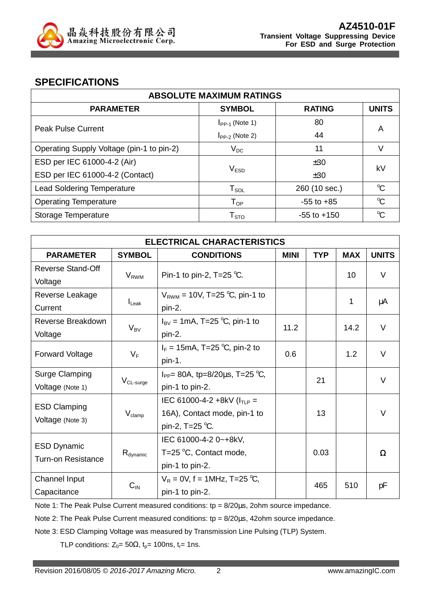

#### **SPECIFICATIONS**

| <b>ABSOLUTE MAXIMUM RATINGS</b>           |                             |                 |                      |  |
|-------------------------------------------|-----------------------------|-----------------|----------------------|--|
| <b>PARAMETER</b>                          | <b>SYMBOL</b>               | <b>RATING</b>   | <b>UNITS</b>         |  |
| <b>Peak Pulse Current</b>                 | $I_{PP-1}$ (Note 1)         | 80              | A                    |  |
|                                           | $I_{PP-2}$ (Note 2)         | 44              |                      |  |
| Operating Supply Voltage (pin-1 to pin-2) | $V_{DC}$                    | 11              |                      |  |
| ESD per IEC 61000-4-2 (Air)               |                             | ±30             | kV                   |  |
| ESD per IEC 61000-4-2 (Contact)           | $\mathsf{V}_{\texttt{ESD}}$ | ±30             |                      |  |
| <b>Lead Soldering Temperature</b>         | ${\sf T}_{\sf SOL}$         | 260 (10 sec.)   | $\mathrm{C}$         |  |
| <b>Operating Temperature</b>              | $\mathsf{T}_{\mathsf{OP}}$  | $-55$ to $+85$  | $\mathrm{C}^{\circ}$ |  |
| Storage Temperature                       | $\mathsf{T}_{\text{STO}}$   | $-55$ to $+150$ | $\mathrm{C}^{\circ}$ |  |

| <b>ELECTRICAL CHARACTERISTICS</b> |                         |                                                            |             |            |            |              |
|-----------------------------------|-------------------------|------------------------------------------------------------|-------------|------------|------------|--------------|
| <b>PARAMETER</b>                  | <b>SYMBOL</b>           | <b>CONDITIONS</b>                                          | <b>MINI</b> | <b>TYP</b> | <b>MAX</b> | <b>UNITS</b> |
| <b>Reverse Stand-Off</b>          |                         |                                                            |             |            | 10         | $\vee$       |
| Voltage                           | <b>V</b> <sub>RWM</sub> | Pin-1 to pin-2, T=25 $°C$ .                                |             |            |            |              |
| Reverse Leakage                   |                         | $V_{RWM}$ = 10V, T=25 °C, pin-1 to                         |             |            | 1          |              |
| Current                           | $I_{\text{Leak}}$       | pin-2.                                                     |             |            |            | μA           |
| Reverse Breakdown                 |                         | $I_{BV} = 1 \text{mA}, T = 25 \text{ °C}, \text{pin-1 to}$ | 11.2        |            | 14.2       | V            |
| Voltage                           | $V_{BV}$                | pin-2.                                                     |             |            |            |              |
|                                   |                         | $I_F = 15 \text{mA}, T = 25 \text{ °C}, \text{pin-2 to}$   | 0.6         |            |            | V            |
| <b>Forward Voltage</b>            | $V_F$                   | pin-1.                                                     |             |            | 1.2        |              |
| <b>Surge Clamping</b>             |                         | $I_{PP}$ = 80A, tp=8/20 $\mu$ s, T=25 °C,                  |             | 21         |            | $\vee$       |
| Voltage (Note 1)                  | $V_{CL-surge}$          | pin-1 to pin-2.                                            |             |            |            |              |
|                                   |                         | IEC 61000-4-2 +8kV ( $I_{TLP}$ =                           |             |            |            |              |
| <b>ESD Clamping</b>               | $V_{\text{clamp}}$      | 16A), Contact mode, pin-1 to                               |             | 13         |            | $\vee$       |
| Voltage (Note 3)                  |                         | pin-2, T=25 $^{\circ}$ C.                                  |             |            |            |              |
| <b>ESD Dynamic</b>                |                         | IEC 61000-4-2 0~+8kV,                                      |             |            |            |              |
| <b>Turn-on Resistance</b>         | $R_{\text{dynamic}}$    | T=25 $\degree$ C, Contact mode,                            |             | 0.03       |            | Ω            |
|                                   |                         | pin-1 to pin-2.                                            |             |            |            |              |
| Channel Input                     |                         | $V_R = 0V$ , f = 1MHz, T=25 °C,                            |             |            |            |              |
| Capacitance                       | $C_{\text{IN}}$         | pin-1 to pin-2.                                            |             | 465        | 510        | pF           |

Note 1: The Peak Pulse Current measured conditions: tp = 8/20us, 2ohm source impedance.

Note 2: The Peak Pulse Current measured conditions:  $tp = 8/20 \mu s$ , 42ohm source impedance.

Note 3: ESD Clamping Voltage was measured by Transmission Line Pulsing (TLP) System.

TLP conditions:  $Z_0 = 50\Omega$ ,  $t_p = 100$ ns,  $t_r = 1$ ns.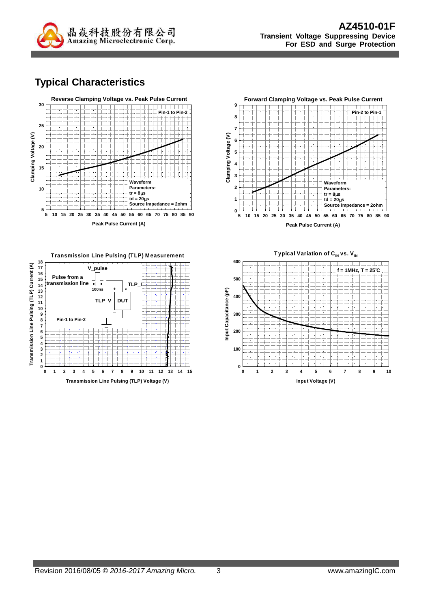

# **Typical Characteristics**







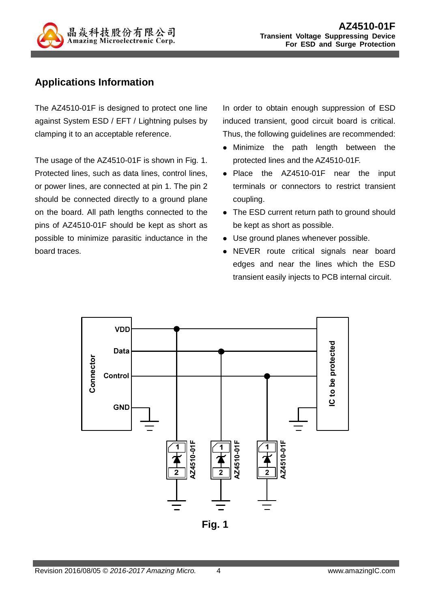

## **Applications Information**

The AZ4510-01F is designed to protect one line against System ESD / EFT / Lightning pulses by clamping it to an acceptable reference.

The usage of the AZ4510-01F is shown in Fig. 1. Protected lines, such as data lines, control lines, or power lines, are connected at pin 1. The pin 2 should be connected directly to a ground plane on the board. All path lengths connected to the pins of AZ4510-01F should be kept as short as possible to minimize parasitic inductance in the board traces.

In order to obtain enough suppression of ESD induced transient, good circuit board is critical. Thus, the following guidelines are recommended:

- Minimize the path length between the protected lines and the AZ4510-01F.
- Place the AZ4510-01F near the input terminals or connectors to restrict transient coupling.
- The ESD current return path to ground should be kept as short as possible.
- Use ground planes whenever possible.
- NEVER route critical signals near board edges and near the lines which the ESD transient easily injects to PCB internal circuit.

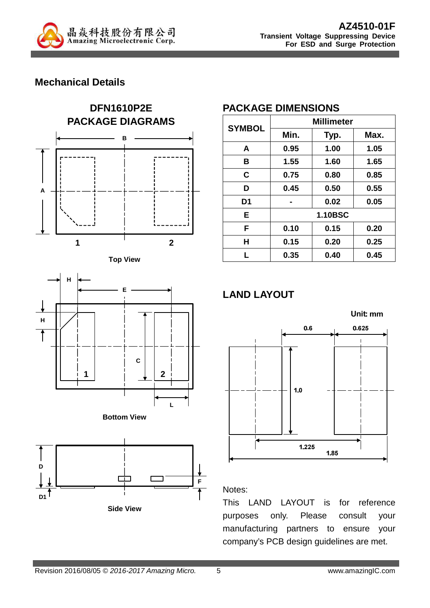

## **Mechanical Details**











## **PACKAGE DIMENSIONS**

| <b>SYMBOL</b>  | <b>Millimeter</b> |      |      |  |
|----------------|-------------------|------|------|--|
|                | Min.              | Typ. | Max. |  |
| A              | 0.95              | 1.00 | 1.05 |  |
| в              | 1.55              | 1.60 | 1.65 |  |
| C              | 0.75              | 0.80 | 0.85 |  |
| D              | 0.45              | 0.50 | 0.55 |  |
| D <sub>1</sub> |                   | 0.02 | 0.05 |  |
| Е              | <b>1.10BSC</b>    |      |      |  |
| F              | 0.10              | 0.15 | 0.20 |  |
| н              | 0.15              | 0.20 | 0.25 |  |
| L              | 0.35              | 0.40 | 0.45 |  |

# **LAND LAYOUT**



#### Notes:

This LAND LAYOUT is for reference purposes only. Please consult your manufacturing partners to ensure your company's PCB design guidelines are met.